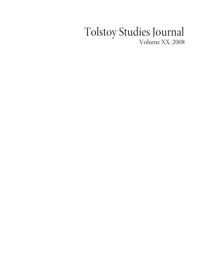## Tolstoy Studies Journal Volume XX: 2008